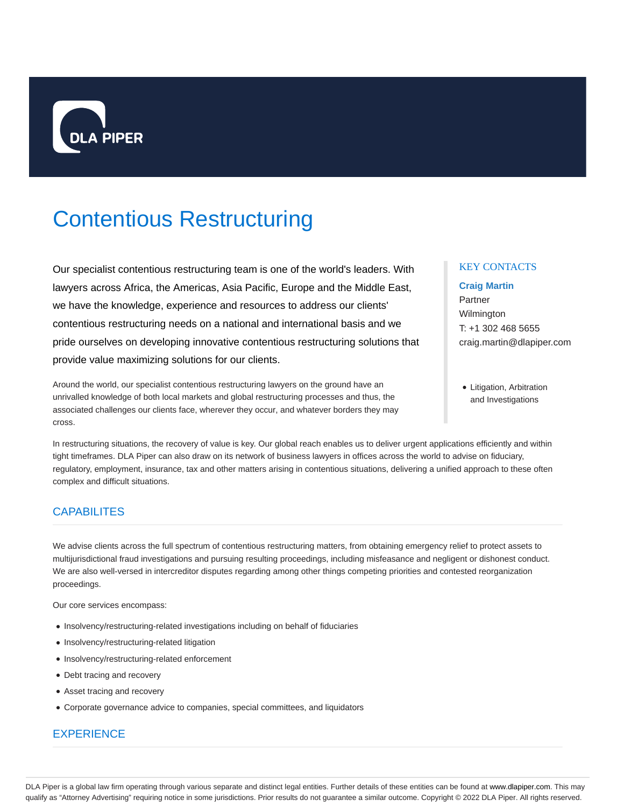

# Contentious Restructuring

Our specialist contentious restructuring team is one of the world's leaders. With lawyers across Africa, the Americas, Asia Pacific, Europe and the Middle East, we have the knowledge, experience and resources to address our clients' contentious restructuring needs on a national and international basis and we pride ourselves on developing innovative contentious restructuring solutions that provide value maximizing solutions for our clients.

Around the world, our specialist contentious restructuring lawyers on the ground have an unrivalled knowledge of both local markets and global restructuring processes and thus, the associated challenges our clients face, wherever they occur, and whatever borders they may cross.

In restructuring situations, the recovery of value is key. Our global reach enables us to deliver urgent applications efficiently and within tight timeframes. DLA Piper can also draw on its network of business lawyers in offices across the world to advise on fiduciary, regulatory, employment, insurance, tax and other matters arising in contentious situations, delivering a unified approach to these often complex and difficult situations.

## **CAPABILITES**

We advise clients across the full spectrum of contentious restructuring matters, from obtaining emergency relief to protect assets to multijurisdictional fraud investigations and pursuing resulting proceedings, including misfeasance and negligent or dishonest conduct. We are also well-versed in intercreditor disputes regarding among other things competing priorities and contested reorganization proceedings.

Our core services encompass:

- Insolvency/restructuring-related investigations including on behalf of fiduciaries
- Insolvency/restructuring-related litigation
- Insolvency/restructuring-related enforcement
- Debt tracing and recovery
- Asset tracing and recovery
- Corporate governance advice to companies, special committees, and liquidators

## **EXPERIENCE**

#### KEY CONTACTS

#### **Craig Martin**

Partner Wilmington T: +1 302 468 5655 craig.martin@dlapiper.com

• Litigation, Arbitration and Investigations

DLA Piper is a global law firm operating through various separate and distinct legal entities. Further details of these entities can be found at www.dlapiper.com. This may qualify as "Attorney Advertising" requiring notice in some jurisdictions. Prior results do not guarantee a similar outcome. Copyright @ 2022 DLA Piper. All rights reserved.